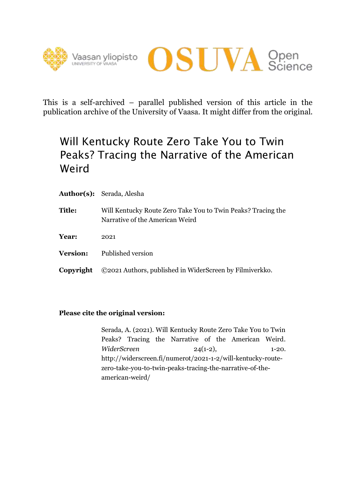



This is a self-archived – parallel published version of this article in the publication archive of the University of Vaasa. It might differ from the original.

## Will Kentucky Route Zero Take You to Twin Peaks? Tracing the Narrative of the American Weird

|                 | <b>Author(s):</b> Serada, Alesha                                                                |
|-----------------|-------------------------------------------------------------------------------------------------|
| Title:          | Will Kentucky Route Zero Take You to Twin Peaks? Tracing the<br>Narrative of the American Weird |
| Year:           | 2021                                                                                            |
| <b>Version:</b> | Published version                                                                               |
| Copyright       | ©2021 Authors, published in WiderScreen by Filmiverkko.                                         |

#### **Please cite the original version:**

Serada, A. (2021). Will Kentucky Route Zero Take You to Twin Peaks? Tracing the Narrative of the American Weird. *WiderScreen* 24(1-2), 1-20. http://widerscreen.fi/numerot/2021-1-2/will-kentucky-routezero-take-you-to-twin-peaks-tracing-the-narrative-of-theamerican-weird/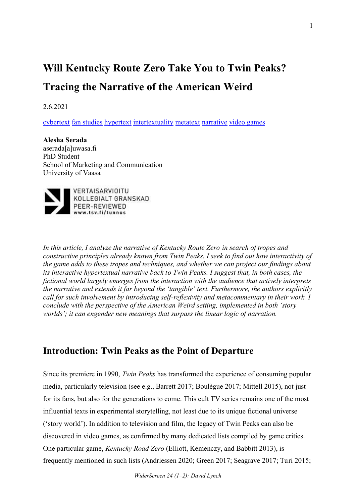# **Will Kentucky Route Zero Take You to Twin Peaks? Tracing the Narrative of the American Weird**

2.6.2021

cybertext fan studies hypertext intertextuality metatext narrative video games

**Alesha Serada** aserada[a]uwasa.fi PhD Student School of Marketing and Communication University of Vaasa



*In this article, I analyze the narrative of Kentucky Route Zero in search of tropes and constructive principles already known from Twin Peaks. I seek to find out how interactivity of the game adds to these tropes and techniques, and whether we can project our findings about its interactive hypertextual narrative back to Twin Peaks. I suggest that, in both cases, the fictional world largely emerges from the interaction with the audience that actively interprets the narrative and extends it far beyond the 'tangible' text. Furthermore, the authors explicitly call for such involvement by introducing self-reflexivity and metacommentary in their work. I conclude with the perspective of the American Weird setting, implemented in both 'story worlds'; it can engender new meanings that surpass the linear logic of narration.*

## **Introduction: Twin Peaks as the Point of Departure**

Since its premiere in 1990, *Twin Peaks* has transformed the experience of consuming popular media, particularly television (see e.g., Barrett 2017; Boulègue 2017; Mittell 2015), not just for its fans, but also for the generations to come. This cult TV series remains one of the most influential texts in experimental storytelling, not least due to its unique fictional universe ('story world'). In addition to television and film, the legacy of Twin Peaks can also be discovered in video games, as confirmed by many dedicated lists compiled by game critics. One particular game, *Kentucky Road Zero* (Elliott, Kemenczy, and Babbitt 2013), is frequently mentioned in such lists (Andriessen 2020; Green 2017; Seagrave 2017; Turi 2015;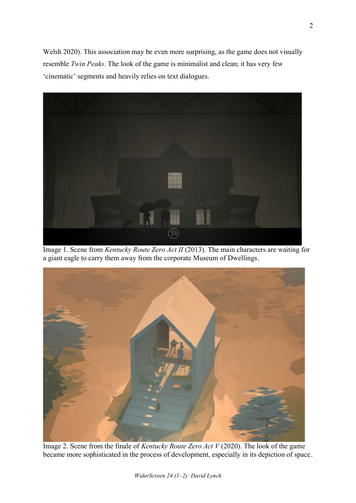Welsh 2020). This association may be even more surprising, as the game does not visually resemble *Twin Peaks*. The look of the game is minimalist and clean; it has very few 'cinematic' segments and heavily relies on text dialogues.



Image 1. Scene from *Kentucky Route Zero Act II* (2013). The main characters are waiting for a giant eagle to carry them away from the corporate Museum of Dwellings.



Image 2. Scene from the finale of *Kentucky Route Zero Act V* (2020). The look of the game became more sophisticated in the process of development, especially in its depiction of space.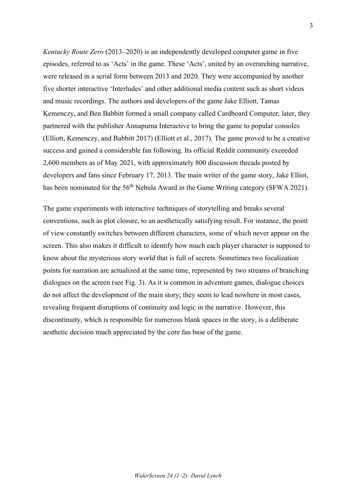*Kentucky Route Zero* (2013–2020) is an independently developed computer game in five episodes, referred to as 'Acts' in the game. These 'Acts', united by an overarching narrative, were released in a serial form between 2013 and 2020. They were accompanied by another five shorter interactive 'Interludes' and other additional media content such as short videos and music recordings. The authors and developers of the game Jake Elliott, Tamas Kemenczy, and Ben Babbitt formed a small company called Cardboard Computer; later, they partnered with the publisher Annapurna Interactive to bring the game to popular consoles (Elliott, Kemenczy, and Babbitt 2017) (Elliott et al., 2017). The game proved to be a creative success and gained a considerable fan following. Its official Reddit community exceeded 2,600 members as of May 2021, with approximately 800 discussion threads posted by developers and fans since February 17, 2013. The main writer of the game story, Jake Elliot, has been nominated for the 56<sup>th</sup> Nebula Award in the Game Writing category (SFWA 2021).

The game experiments with interactive techniques of storytelling and breaks several conventions, such as plot closure, to an aesthetically satisfying result. For instance, the point of view constantly switches between different characters, some of which never appear on the screen. This also makes it difficult to identify how much each player character is supposed to know about the mysterious story world that is full of secrets. Sometimes two focalization points for narration are actualized at the same time, represented by two streams of branching dialogues on the screen (see Fig. 3). As it is common in adventure games, dialogue choices do not affect the development of the main story; they seem to lead nowhere in most cases, revealing frequent disruptions of continuity and logic in the narrative. However, this discontinuity, which is responsible for numerous blank spaces in the story, is a deliberate aesthetic decision much appreciated by the core fan base of the game.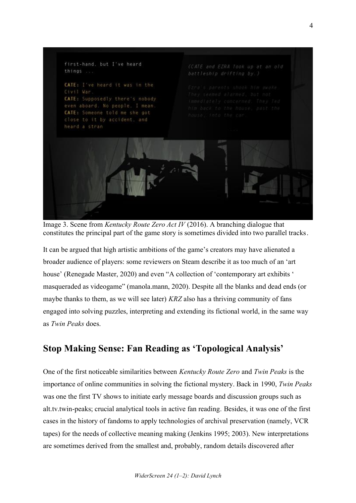

Image 3. Scene from *Kentucky Route Zero Act IV* (2016). A branching dialogue that constitutes the principal part of the game story is sometimes divided into two parallel tracks.

It can be argued that high artistic ambitions of the game's creators may have alienated a broader audience of players: some reviewers on Steam describe it as too much of an 'art house' (Renegade Master, 2020) and even "A collection of 'contemporary art exhibits ' masqueraded as videogame" (manola.mann, 2020). Despite all the blanks and dead ends (or maybe thanks to them, as we will see later) *KRZ* also has a thriving community of fans engaged into solving puzzles, interpreting and extending its fictional world, in the same way as *Twin Peaks* does.

## **Stop Making Sense: Fan Reading as 'Topological Analysis'**

One of the first noticeable similarities between *Kentucky Route Zero* and *Twin Peaks* is the importance of online communities in solving the fictional mystery. Back in 1990, *Twin Peaks* was one the first TV shows to initiate early message boards and discussion groups such as alt.tv.twin-peaks; crucial analytical tools in active fan reading*.* Besides, it was one of the first cases in the history of fandoms to apply technologies of archival preservation (namely, VCR tapes) for the needs of collective meaning making (Jenkins 1995; 2003). New interpretations are sometimes derived from the smallest and, probably, random details discovered after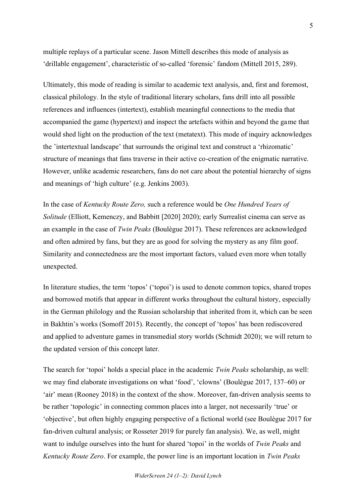multiple replays of a particular scene. Jason Mittell describes this mode of analysis as 'drillable engagement', characteristic of so-called 'forensic' fandom (Mittell 2015, 289).

Ultimately, this mode of reading is similar to academic text analysis, and, first and foremost, classical philology. In the style of traditional literary scholars, fans drill into all possible references and influences (intertext), establish meaningful connections to the media that accompanied the game (hypertext) and inspect the artefacts within and beyond the game that would shed light on the production of the text (metatext). This mode of inquiry acknowledges the 'intertextual landscape' that surrounds the original text and construct a 'rhizomatic' structure of meanings that fans traverse in their active co-creation of the enigmatic narrative. However, unlike academic researchers, fans do not care about the potential hierarchy of signs and meanings of 'high culture' (e.g. Jenkins 2003).

In the case of *Kentucky Route Zero,* such a reference would be *One Hundred Years of Solitude* (Elliott, Kemenczy, and Babbitt [2020] 2020); early Surrealist cinema can serve as an example in the case of *Twin Peaks* (Boulègue 2017). These references are acknowledged and often admired by fans, but they are as good for solving the mystery as any film goof. Similarity and connectedness are the most important factors, valued even more when totally unexpected.

In literature studies, the term 'topos' ('topoi') is used to denote common topics, shared tropes and borrowed motifs that appear in different works throughout the cultural history, especially in the German philology and the Russian scholarship that inherited from it, which can be seen in Bakhtin's works (Somoff 2015). Recently, the concept of 'topos' has been rediscovered and applied to adventure games in transmedial story worlds (Schmidt 2020); we will return to the updated version of this concept later.

The search for 'topoi' holds a special place in the academic *Twin Peaks* scholarship, as well: we may find elaborate investigations on what 'food', 'clowns' (Boulègue 2017, 137–60) or 'air' mean (Rooney 2018) in the context of the show. Moreover, fan-driven analysis seems to be rather 'topologic' in connecting common places into a larger, not necessarily 'true' or 'objective', but often highly engaging perspective of a fictional world (see Boulègue 2017 for fan-driven cultural analysis; or Rosseter 2019 for purely fan analysis). We, as well, might want to indulge ourselves into the hunt for shared 'topoi' in the worlds of *Twin Peaks* and *Kentucky Route Zero*. For example, the power line is an important location in *Twin Peaks*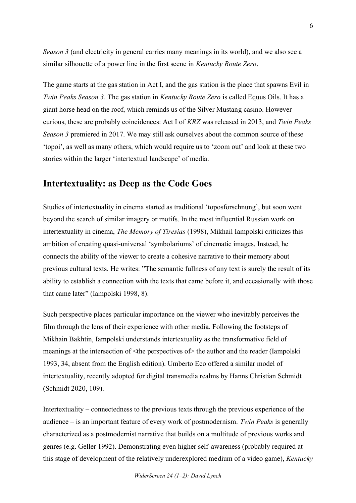*Season 3* (and electricity in general carries many meanings in its world), and we also see a similar silhouette of a power line in the first scene in *Kentucky Route Zero*.

The game starts at the gas station in Act I, and the gas station is the place that spawns Evil in *Twin Peaks Season 3*. The gas station in *Kentucky Route Zero* is called Equus Oils. It has a giant horse head on the roof, which reminds us of the Silver Mustang casino. However curious, these are probably coincidences: Act I of *KRZ* was released in 2013, and *Twin Peaks Season 3* premiered in 2017. We may still ask ourselves about the common source of these 'topoi', as well as many others, which would require us to 'zoom out' and look at these two stories within the larger 'intertextual landscape' of media.

## **Intertextuality: as Deep as the Code Goes**

Studies of intertextuality in cinema started as traditional 'toposforschnung', but soon went beyond the search of similar imagery or motifs. In the most influential Russian work on intertextuality in cinema, *The Memory of Tiresias* (1998), Mikhail Iampolski criticizes this ambition of creating quasi-universal 'symbolariums' of cinematic images. Instead, he connects the ability of the viewer to create a cohesive narrative to their memory about previous cultural texts. He writes: "The semantic fullness of any text is surely the result of its ability to establish a connection with the texts that came before it, and occasionally with those that came later" (Iampolski 1998, 8).

Such perspective places particular importance on the viewer who inevitably perceives the film through the lens of their experience with other media. Following the footsteps of Mikhain Bakhtin, Iampolski understands intertextuality as the transformative field of meanings at the intersection of  $\leq$  the perspectives of  $\geq$  the author and the reader (Iampolski 1993, 34, absent from the English edition). Umberto Eco offered a similar model of intertextuality, recently adopted for digital transmedia realms by Hanns Christian Schmidt (Schmidt 2020, 109).

Intertextuality – connectedness to the previous texts through the previous experience of the audience – is an important feature of every work of postmodernism. *Twin Peaks* is generally characterized as a postmodernist narrative that builds on a multitude of previous works and genres (e.g. Geller 1992). Demonstrating even higher self-awareness (probably required at this stage of development of the relatively underexplored medium of a video game), *Kentucky*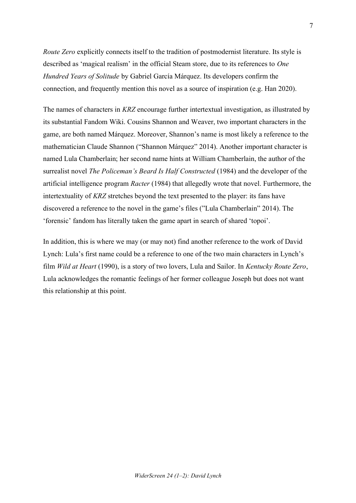*Route Zero* explicitly connects itself to the tradition of postmodernist literature. Its style is described as 'magical realism' in the official Steam store, due to its references to *One Hundred Years of Solitude* by Gabriel García Márquez. Its developers confirm the connection, and frequently mention this novel as a source of inspiration (e.g. Han 2020).

The names of characters in *KRZ* encourage further intertextual investigation, as illustrated by its substantial Fandom Wiki. Cousins Shannon and Weaver, two important characters in the game, are both named Márquez. Moreover, Shannon's name is most likely a reference to the mathematician Claude Shannon ("Shannon Márquez" 2014). Another important character is named Lula Chamberlain; her second name hints at William Chamberlain, the author of the surrealist novel *The Policeman's Beard Is Half Constructed* (1984) and the developer of the artificial intelligence program *Racter* (1984) that allegedly wrote that novel. Furthermore, the intertextuality of *KRZ* stretches beyond the text presented to the player: its fans have discovered a reference to the novel in the game's files ("Lula Chamberlain" 2014). The 'forensic' fandom has literally taken the game apart in search of shared 'topoi'.

In addition, this is where we may (or may not) find another reference to the work of David Lynch: Lula's first name could be a reference to one of the two main characters in Lynch's film *Wild at Heart* (1990), is a story of two lovers, Lula and Sailor. In *Kentucky Route Zero*, Lula acknowledges the romantic feelings of her former colleague Joseph but does not want this relationship at this point.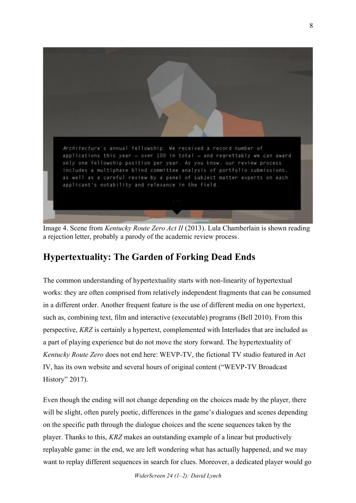

Image 4. Scene from *Kentucky Route Zero Act II* (2013). Lula Chamberlain is shown reading a rejection letter, probably a parody of the academic review process.

## **Hypertextuality: The Garden of Forking Dead Ends**

The common understanding of hypertextuality starts with non-linearity of hypertextual works: they are often comprised from relatively independent fragments that can be consumed in a different order. Another frequent feature is the use of different media on one hypertext, such as, combining text, film and interactive (executable) programs (Bell 2010). From this perspective, *KRZ* is certainly a hypertext, complemented with Interludes that are included as a part of playing experience but do not move the story forward. The hypertextuality of *Kentucky Route Zero* does not end here: WEVP-TV, the fictional TV studio featured in Act IV, has its own website and several hours of original content ("WEVP-TV Broadcast History" 2017).

Even though the ending will not change depending on the choices made by the player, there will be slight, often purely poetic, differences in the game's dialogues and scenes depending on the specific path through the dialogue choices and the scene sequences taken by the player. Thanks to this, *KRZ* makes an outstanding example of a linear but productively replayable game: in the end, we are left wondering what has actually happened, and we may want to replay different sequences in search for clues. Moreover, a dedicated player would go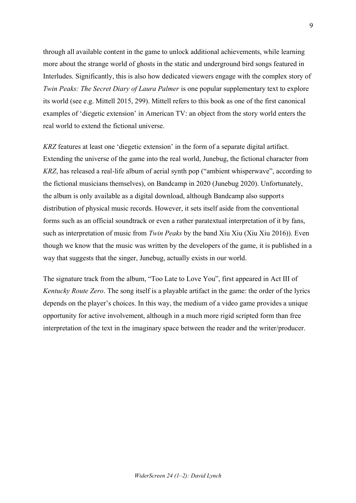through all available content in the game to unlock additional achievements, while learning more about the strange world of ghosts in the static and underground bird songs featured in Interludes. Significantly, this is also how dedicated viewers engage with the complex story of *Twin Peaks: The Secret Diary of Laura Palmer* is one popular supplementary text to explore its world (see e.g. Mittell 2015, 299). Mittell refers to this book as one of the first canonical examples of 'diegetic extension' in American TV: an object from the story world enters the real world to extend the fictional universe.

*KRZ* features at least one 'diegetic extension' in the form of a separate digital artifact. Extending the universe of the game into the real world, Junebug, the fictional character from *KRZ*, has released a real-life album of aerial synth pop ("ambient whisperwave", according to the fictional musicians themselves), on Bandcamp in 2020 (Junebug 2020). Unfortunately, the album is only available as a digital download, although Bandcamp also supports distribution of physical music records. However, it sets itself aside from the conventional forms such as an official soundtrack or even a rather paratextual interpretation of it by fans, such as interpretation of music from *Twin Peaks* by the band Xiu Xiu (Xiu Xiu 2016)). Even though we know that the music was written by the developers of the game, it is published in a way that suggests that the singer, Junebug, actually exists in our world.

The signature track from the album, "Too Late to Love You", first appeared in Act III of *Kentucky Route Zero*. The song itself is a playable artifact in the game: the order of the lyrics depends on the player's choices. In this way, the medium of a video game provides a unique opportunity for active involvement, although in a much more rigid scripted form than free interpretation of the text in the imaginary space between the reader and the writer/producer.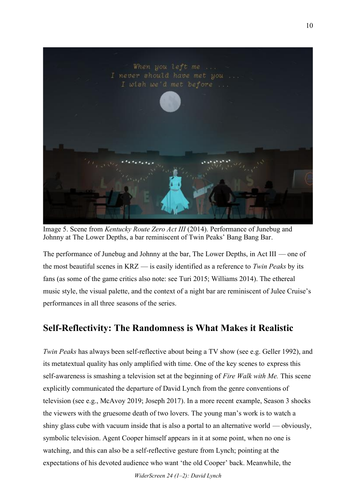

Image 5. Scene from *Kentucky Route Zero Act III* (2014). Performance of Junebug and Johnny at The Lower Depths, a bar reminiscent of Twin Peaks' Bang Bang Bar.

The performance of Junebug and Johnny at the bar, The Lower Depths, in Act III — one of the most beautiful scenes in KRZ — is easily identified as a reference to *Twin Peaks* by its fans (as some of the game critics also note: see Turi 2015; Williams 2014). The ethereal music style, the visual palette, and the context of a night bar are reminiscent of Julee Cruise's performances in all three seasons of the series.

## **Self-Reflectivity: The Randomness is What Makes it Realistic**

*Twin Peaks* has always been self-reflective about being a TV show (see e.g. Geller 1992), and its metatextual quality has only amplified with time. One of the key scenes to express this self-awareness is smashing a television set at the beginning of *Fire Walk with Me.* This scene explicitly communicated the departure of David Lynch from the genre conventions of television (see e.g., McAvoy 2019; Joseph 2017). In a more recent example, Season 3 shocks the viewers with the gruesome death of two lovers. The young man's work is to watch a shiny glass cube with vacuum inside that is also a portal to an alternative world — obviously, symbolic television. Agent Cooper himself appears in it at some point, when no one is watching, and this can also be a self-reflective gesture from Lynch; pointing at the expectations of his devoted audience who want 'the old Cooper' back. Meanwhile, the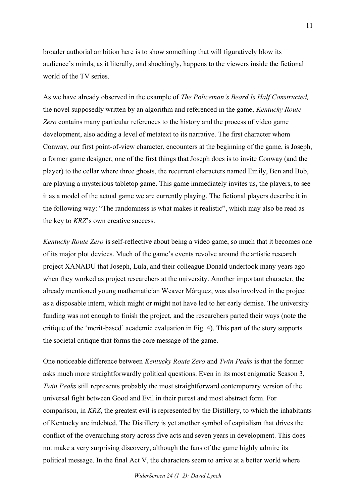broader authorial ambition here is to show something that will figuratively blow its audience's minds, as it literally, and shockingly, happens to the viewers inside the fictional world of the TV series.

As we have already observed in the example of *The Policeman's Beard Is Half Constructed,* the novel supposedly written by an algorithm and referenced in the game, *Kentucky Route Zero* contains many particular references to the history and the process of video game development, also adding a level of metatext to its narrative. The first character whom Conway, our first point-of-view character, encounters at the beginning of the game, is Joseph, a former game designer; one of the first things that Joseph does is to invite Conway (and the player) to the cellar where three ghosts, the recurrent characters named Emily, Ben and Bob, are playing a mysterious tabletop game. This game immediately invites us, the players, to see it as a model of the actual game we are currently playing. The fictional players describe it in the following way: "The randomness is what makes it realistic", which may also be read as the key to *KRZ*'s own creative success.

*Kentucky Route Zero* is self-reflective about being a video game, so much that it becomes one of its major plot devices. Much of the game's events revolve around the artistic research project XANADU that Joseph, Lula, and their colleague Donald undertook many years ago when they worked as project researchers at the university. Another important character, the already mentioned young mathematician Weaver Márquez, was also involved in the project as a disposable intern, which might or might not have led to her early demise. The university funding was not enough to finish the project, and the researchers parted their ways (note the critique of the 'merit-based' academic evaluation in Fig. 4). This part of the story supports the societal critique that forms the core message of the game.

One noticeable difference between *Kentucky Route Zero* and *Twin Peaks* is that the former asks much more straightforwardly political questions. Even in its most enigmatic Season 3, *Twin Peaks* still represents probably the most straightforward contemporary version of the universal fight between Good and Evil in their purest and most abstract form. For comparison, in *KRZ*, the greatest evil is represented by the Distillery, to which the inhabitants of Kentucky are indebted. The Distillery is yet another symbol of capitalism that drives the conflict of the overarching story across five acts and seven years in development. This does not make a very surprising discovery, although the fans of the game highly admire its political message. In the final Act V, the characters seem to arrive at a better world where

11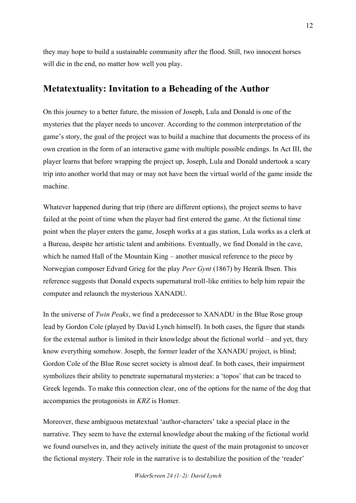they may hope to build a sustainable community after the flood. Still, two innocent horses will die in the end, no matter how well you play.

## **Metatextuality: Invitation to a Beheading of the Author**

On this journey to a better future, the mission of Joseph, Lula and Donald is one of the mysteries that the player needs to uncover. According to the common interpretation of the game's story, the goal of the project was to build a machine that documents the process of its own creation in the form of an interactive game with multiple possible endings. In Act III, the player learns that before wrapping the project up, Joseph, Lula and Donald undertook a scary trip into another world that may or may not have been the virtual world of the game inside the machine.

Whatever happened during that trip (there are different options), the project seems to have failed at the point of time when the player had first entered the game. At the fictional time point when the player enters the game, Joseph works at a gas station, Lula works as a clerk at a Bureau, despite her artistic talent and ambitions. Eventually, we find Donald in the cave, which he named Hall of the Mountain King – another musical reference to the piece by Norwegian composer Edvard Grieg for the play *Peer Gynt* (1867) by Henrik Ibsen. This reference suggests that Donald expects supernatural troll-like entities to help him repair the computer and relaunch the mysterious XANADU.

In the universe of *Twin Peaks*, we find a predecessor to XANADU in the Blue Rose group lead by Gordon Cole (played by David Lynch himself). In both cases, the figure that stands for the external author is limited in their knowledge about the fictional world – and yet, they know everything somehow. Joseph, the former leader of the XANADU project, is blind; Gordon Cole of the Blue Rose secret society is almost deaf. In both cases, their impairment symbolizes their ability to penetrate supernatural mysteries: a 'topos' that can be traced to Greek legends. To make this connection clear, one of the options for the name of the dog that accompanies the protagonists in *KRZ* is Homer.

Moreover, these ambiguous metatextual 'author-characters' take a special place in the narrative. They seem to have the external knowledge about the making of the fictional world we found ourselves in, and they actively initiate the quest of the main protagonist to uncover the fictional mystery. Their role in the narrative is to destabilize the position of the 'reader'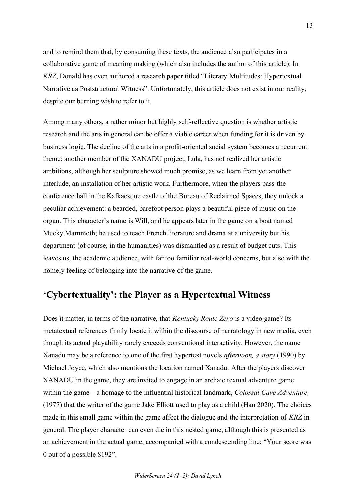and to remind them that, by consuming these texts, the audience also participates in a collaborative game of meaning making (which also includes the author of this article). In *KRZ*, Donald has even authored a research paper titled "Literary Multitudes: Hypertextual Narrative as Poststructural Witness". Unfortunately, this article does not exist in our reality, despite our burning wish to refer to it.

Among many others, a rather minor but highly self-reflective question is whether artistic research and the arts in general can be offer a viable career when funding for it is driven by business logic. The decline of the arts in a profit-oriented social system becomes a recurrent theme: another member of the XANADU project, Lula, has not realized her artistic ambitions, although her sculpture showed much promise, as we learn from yet another interlude, an installation of her artistic work. Furthermore, when the players pass the conference hall in the Kafkaesque castle of the Bureau of Reclaimed Spaces, they unlock a peculiar achievement: a bearded, barefoot person plays a beautiful piece of music on the organ. This character's name is Will, and he appears later in the game on a boat named Mucky Mammoth; he used to teach French literature and drama at a university but his department (of course, in the humanities) was dismantled as a result of budget cuts. This leaves us, the academic audience, with far too familiar real-world concerns, but also with the homely feeling of belonging into the narrative of the game.

## **'Cybertextuality': the Player as a Hypertextual Witness**

Does it matter, in terms of the narrative, that *Kentucky Route Zero* is a video game? Its metatextual references firmly locate it within the discourse of narratology in new media, even though its actual playability rarely exceeds conventional interactivity. However, the name Xanadu may be a reference to one of the first hypertext novels *afternoon, a story* (1990) by Michael Joyce, which also mentions the location named Xanadu. After the players discover XANADU in the game, they are invited to engage in an archaic textual adventure game within the game – a homage to the influential historical landmark, *Colossal Cave Adventure,* (1977) that the writer of the game Jake Elliott used to play as a child (Han 2020). The choices made in this small game within the game affect the dialogue and the interpretation of *KRZ* in general. The player character can even die in this nested game, although this is presented as an achievement in the actual game, accompanied with a condescending line: "Your score was 0 out of a possible 8192".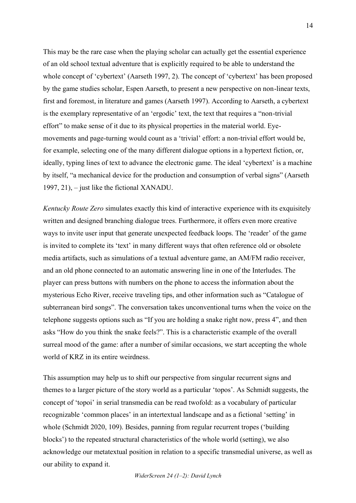This may be the rare case when the playing scholar can actually get the essential experience of an old school textual adventure that is explicitly required to be able to understand the whole concept of 'cybertext' (Aarseth 1997, 2). The concept of 'cybertext' has been proposed by the game studies scholar, Espen Aarseth, to present a new perspective on non-linear texts, first and foremost, in literature and games (Aarseth 1997). According to Aarseth, a cybertext is the exemplary representative of an 'ergodic' text, the text that requires a "non-trivial effort" to make sense of it due to its physical properties in the material world. Eyemovements and page-turning would count as a 'trivial' effort: a non-trivial effort would be, for example, selecting one of the many different dialogue options in a hypertext fiction, or, ideally, typing lines of text to advance the electronic game. The ideal 'cybertext' is a machine by itself, "a mechanical device for the production and consumption of verbal signs" (Aarseth 1997, 21), – just like the fictional XANADU.

*Kentucky Route Zero* simulates exactly this kind of interactive experience with its exquisitely written and designed branching dialogue trees. Furthermore, it offers even more creative ways to invite user input that generate unexpected feedback loops. The 'reader' of the game is invited to complete its 'text' in many different ways that often reference old or obsolete media artifacts, such as simulations of a textual adventure game, an AM/FM radio receiver, and an old phone connected to an automatic answering line in one of the Interludes. The player can press buttons with numbers on the phone to access the information about the mysterious Echo River, receive traveling tips, and other information such as "Catalogue of subterranean bird songs". The conversation takes unconventional turns when the voice on the telephone suggests options such as "If you are holding a snake right now, press 4", and then asks "How do you think the snake feels?". This is a characteristic example of the overall surreal mood of the game: after a number of similar occasions, we start accepting the whole world of KRZ in its entire weirdness.

This assumption may help us to shift our perspective from singular recurrent signs and themes to a larger picture of the story world as a particular 'topos'. As Schmidt suggests, the concept of 'topoi' in serial transmedia can be read twofold: as a vocabulary of particular recognizable 'common places' in an intertextual landscape and as a fictional 'setting' in whole (Schmidt 2020, 109). Besides, panning from regular recurrent tropes ('building blocks') to the repeated structural characteristics of the whole world (setting), we also acknowledge our metatextual position in relation to a specific transmedial universe, as well as our ability to expand it.

*WiderScreen 24 (1–2): David Lynch*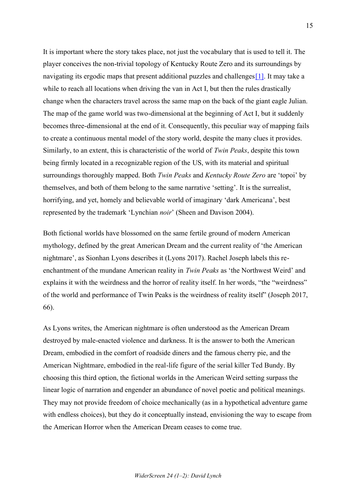It is important where the story takes place, not just the vocabulary that is used to tell it. The player conceives the non-trivial topology of Kentucky Route Zero and its surroundings by navigating its ergodic maps that present additional puzzles and challenges[1]. It may take a while to reach all locations when driving the van in Act I, but then the rules drastically change when the characters travel across the same map on the back of the giant eagle Julian. The map of the game world was two-dimensional at the beginning of Act I, but it suddenly becomes three-dimensional at the end of it. Consequently, this peculiar way of mapping fails to create a continuous mental model of the story world, despite the many clues it provides. Similarly, to an extent, this is characteristic of the world of *Twin Peaks*, despite this town being firmly located in a recognizable region of the US, with its material and spiritual surroundings thoroughly mapped. Both *Twin Peaks* and *Kentucky Route Zero* are 'topoi' by themselves, and both of them belong to the same narrative 'setting'. It is the surrealist, horrifying, and yet, homely and believable world of imaginary 'dark Americana', best represented by the trademark 'Lynchian *noir*' (Sheen and Davison 2004).

Both fictional worlds have blossomed on the same fertile ground of modern American mythology, defined by the great American Dream and the current reality of 'the American nightmare', as Sionhan Lyons describes it (Lyons 2017). Rachel Joseph labels this reenchantment of the mundane American reality in *Twin Peaks* as 'the Northwest Weird' and explains it with the weirdness and the horror of reality itself. In her words, "the "weirdness" of the world and performance of Twin Peaks is the weirdness of reality itself" (Joseph 2017, 66).

As Lyons writes, the American nightmare is often understood as the American Dream destroyed by male-enacted violence and darkness. It is the answer to both the American Dream, embodied in the comfort of roadside diners and the famous cherry pie, and the American Nightmare, embodied in the real-life figure of the serial killer Ted Bundy. By choosing this third option, the fictional worlds in the American Weird setting surpass the linear logic of narration and engender an abundance of novel poetic and political meanings. They may not provide freedom of choice mechanically (as in a hypothetical adventure game with endless choices), but they do it conceptually instead, envisioning the way to escape from the American Horror when the American Dream ceases to come true.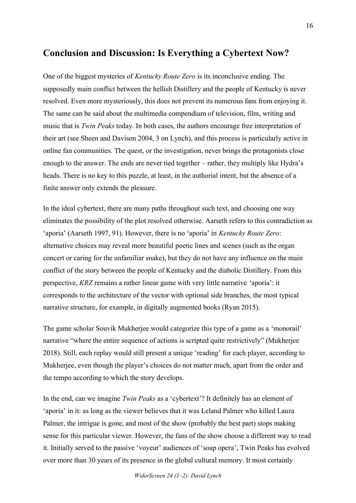## **Conclusion and Discussion: Is Everything a Cybertext Now?**

One of the biggest mysteries of *Kentucky Route Zero* is its inconclusive ending. The supposedly main conflict between the hellish Distillery and the people of Kentucky is never resolved. Even more mysteriously, this does not prevent its numerous fans from enjoying it. The same can be said about the multimedia compendium of television, film, writing and music that is *Twin Peaks* today. In both cases, the authors encourage free interpretation of their art (see Sheen and Davison 2004, 3 on Lynch), and this process is particularly active in online fan communities. The quest, or the investigation, never brings the protagonists close enough to the answer. The ends are never tied together – rather, they multiply like Hydra's heads. There is no key to this puzzle, at least, in the authorial intent, but the absence of a finite answer only extends the pleasure.

In the ideal cybertext, there are many paths throughout such text, and choosing one way eliminates the possibility of the plot resolved otherwise. Aarseth refers to this contradiction as 'aporia' (Aarseth 1997, 91). However, there is no 'aporia' in *Kentucky Route Zero*: alternative choices may reveal more beautiful poetic lines and scenes (such as the organ concert or caring for the unfamiliar snake), but they do not have any influence on the main conflict of the story between the people of Kentucky and the diabolic Distillery. From this perspective, *KRZ* remains a rather linear game with very little narrative 'aporia': it corresponds to the architecture of the vector with optional side branches, the most typical narrative structure, for example, in digitally augmented books (Ryan 2015).

The game scholar Souvik Mukherjee would categorize this type of a game as a 'monorail' narrative "where the entire sequence of actions is scripted quite restrictively" (Mukherjee 2018). Still, each replay would still present a unique 'reading' for each player, according to Mukherjee, even though the player's choices do not matter much, apart from the order and the tempo according to which the story develops.

In the end, can we imagine *Twin Peaks* as a 'cybertext'? It definitely has an element of 'aporia' in it: as long as the viewer believes that it was Leland Palmer who killed Laura Palmer, the intrigue is gone, and most of the show (probably the best part) stops making sense for this particular viewer. However, the fans of the show choose a different way to read it. Initially served to the passive 'voyeur' audiences of 'soap opera', Twin Peaks has evolved over more than 30 years of its presence in the global cultural memory. It most certainly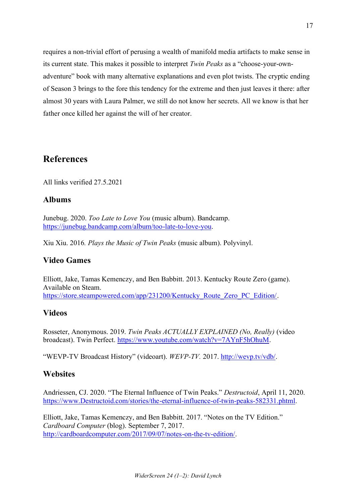requires a non-trivial effort of perusing a wealth of manifold media artifacts to make sense in its current state. This makes it possible to interpret *Twin Peaks* as a "choose-your-ownadventure" book with many alternative explanations and even plot twists. The cryptic ending of Season 3 brings to the fore this tendency for the extreme and then just leaves it there: after almost 30 years with Laura Palmer, we still do not know her secrets. All we know is that her father once killed her against the will of her creator.

## **References**

All links verified 27.5.2021

#### **Albums**

Junebug. 2020. *Too Late to Love You* (music album). Bandcamp. https://junebug.bandcamp.com/album/too-late-to-love-you.

Xiu Xiu. 2016*. Plays the Music of Twin Peaks* (music album). Polyvinyl.

### **Video Games**

Elliott, Jake, Tamas Kemenczy, and Ben Babbitt. 2013. Kentucky Route Zero (game). Available on Steam. https://store.steampowered.com/app/231200/Kentucky\_Route\_Zero\_PC\_Edition/.

### **Videos**

Rosseter, Anonymous. 2019. *Twin Peaks ACTUALLY EXPLAINED (No, Really)* (video broadcast). Twin Perfect. https://www.youtube.com/watch?v=7AYnF5hOhuM.

"WEVP-TV Broadcast History" (videoart). *WEVP-TV.* 2017. http://wevp.tv/vdb/.

#### **Websites**

Andriessen, CJ. 2020. "The Eternal Influence of Twin Peaks." *Destructoid*, April 11, 2020. https://www.Destructoid.com/stories/the-eternal-influence-of-twin-peaks-582331.phtml.

Elliott, Jake, Tamas Kemenczy, and Ben Babbitt. 2017. "Notes on the TV Edition." *Cardboard Computer* (blog). September 7, 2017. http://cardboardcomputer.com/2017/09/07/notes-on-the-tv-edition/.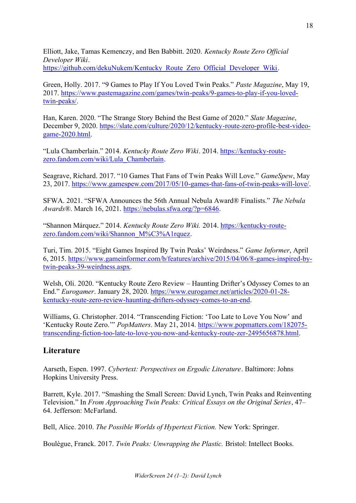Elliott, Jake, Tamas Kemenczy, and Ben Babbitt. 2020. *Kentucky Route Zero Official Developer Wiki*. https://github.com/dekuNukem/Kentucky\_Route\_Zero\_Official\_Developer\_Wiki.

Green, Holly. 2017. "9 Games to Play If You Loved Twin Peaks." *Paste Magazine*, May 19, 2017. https://www.pastemagazine.com/games/twin-peaks/9-games-to-play-if-you-lovedtwin-peaks/.

Han, Karen. 2020. "The Strange Story Behind the Best Game of 2020." *Slate Magazine*, December 9, 2020. https://slate.com/culture/2020/12/kentucky-route-zero-profile-best-videogame-2020.html.

"Lula Chamberlain." 2014. *Kentucky Route Zero Wiki*. 2014. https://kentucky-routezero.fandom.com/wiki/Lula\_Chamberlain.

Seagrave, Richard. 2017. "10 Games That Fans of Twin Peaks Will Love." *GameSpew*, May 23, 2017. https://www.gamespew.com/2017/05/10-games-that-fans-of-twin-peaks-will-love/.

SFWA. 2021. "SFWA Announces the 56th Annual Nebula Award® Finalists." *The Nebula Awards®*. March 16, 2021. https://nebulas.sfwa.org/?p=6846.

"Shannon Márquez." 2014. *Kentucky Route Zero Wiki.* 2014. https://kentucky-routezero.fandom.com/wiki/Shannon\_M%C3%A1rquez.

Turi, Tim. 2015. "Eight Games Inspired By Twin Peaks' Weirdness." *Game Informer*, April 6, 2015. https://www.gameinformer.com/b/features/archive/2015/04/06/8-games-inspired-bytwin-peaks-39-weirdness.aspx.

Welsh, Oli. 2020. "Kentucky Route Zero Review – Haunting Drifter's Odyssey Comes to an End." *Eurogamer*. January 28, 2020. https://www.eurogamer.net/articles/2020-01-28 kentucky-route-zero-review-haunting-drifters-odyssey-comes-to-an-end.

Williams, G. Christopher. 2014. "Transcending Fiction: 'Too Late to Love You Now' and 'Kentucky Route Zero.'" *PopMatters*. May 21, 2014. https://www.popmatters.com/182075 transcending-fiction-too-late-to-love-you-now-and-kentucky-route-zer-2495656878.html.

### **Literature**

Aarseth, Espen. 1997. *Cybertext: Perspectives on Ergodic Literature*. Baltimore: Johns Hopkins University Press.

Barrett, Kyle. 2017. "Smashing the Small Screen: David Lynch, Twin Peaks and Reinventing Television." In *From Approaching Twin Peaks: Critical Essays on the Original Series*, 47– 64. Jefferson: McFarland.

Bell, Alice. 2010. *The Possible Worlds of Hypertext Fiction.* New York: Springer.

Boulègue, Franck. 2017. *Twin Peaks: Unwrapping the Plastic.* Bristol: Intellect Books.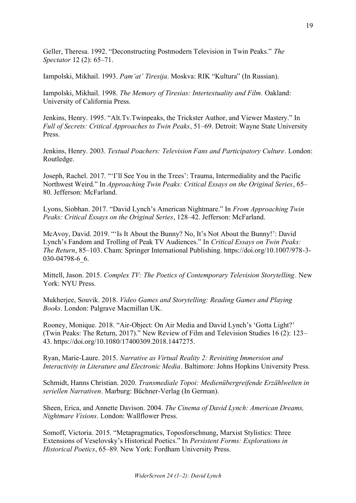Geller, Theresa. 1992. "Deconstructing Postmodern Television in Twin Peaks." *The Spectator* 12 (2): 65–71.

Iampolski, Mikhail. 1993. *Pam'at' Tiresija*. Moskva: RIK "Kultura" (In Russian).

Iampolski, Mikhail. 1998. *The Memory of Tiresias: Intertextuality and Film.* Oakland: University of California Press.

Jenkins, Henry. 1995. "Alt.Tv.Twinpeaks, the Trickster Author, and Viewer Mastery." In *Full of Secrets: Critical Approaches to Twin Peaks*, 51–69. Detroit: Wayne State University Press.

Jenkins, Henry. 2003. *Textual Poachers: Television Fans and Participatory Culture*. London: Routledge.

Joseph, Rachel. 2017. "'I'll See You in the Trees': Trauma, Intermediality and the Pacific Northwest Weird." In *Approaching Twin Peaks: Critical Essays on the Original Series*, 65– 80. Jefferson: McFarland.

Lyons, Siobhan. 2017. "David Lynch's American Nightmare." In *From Approaching Twin Peaks: Critical Essays on the Original Series*, 128–42. Jefferson: McFarland.

McAvoy, David. 2019. "'Is It About the Bunny? No, It's Not About the Bunny!': David Lynch's Fandom and Trolling of Peak TV Audiences." In *Critical Essays on Twin Peaks: The Return*, 85–103. Cham: Springer International Publishing. https://doi.org/10.1007/978-3- 030-04798-6\_6.

Mittell, Jason. 2015. *Complex TV: The Poetics of Contemporary Television Storytelling*. New York: NYU Press.

Mukherjee, Souvik. 2018. *Video Games and Storytelling: Reading Games and Playing Books*. London: Palgrave Macmillan UK.

Rooney, Monique. 2018. "Air-Object: On Air Media and David Lynch's 'Gotta Light?' (Twin Peaks: The Return, 2017)." New Review of Film and Television Studies 16 (2): 123– 43. https://doi.org/10.1080/17400309.2018.1447275.

Ryan, Marie-Laure. 2015. *Narrative as Virtual Reality 2: Revisiting Immersion and Interactivity in Literature and Electronic Media*. Baltimore: Johns Hopkins University Press.

Schmidt, Hanns Christian. 2020. *Transmediale Topoi: Medienübergreifende Erzählwelten in seriellen Narrativen*. Marburg: Büchner-Verlag (In German).

Sheen, Erica, and Annette Davison. 2004. *The Cinema of David Lynch: American Dreams, Nightmare Visions*. London: Wallflower Press.

Somoff, Victoria. 2015. "Metapragmatics, Toposforschnung, Marxist Stylistics: Three Extensions of Veselovsky's Historical Poetics." In *Persistent Forms: Explorations in Historical Poetics*, 65–89. New York: Fordham University Press.